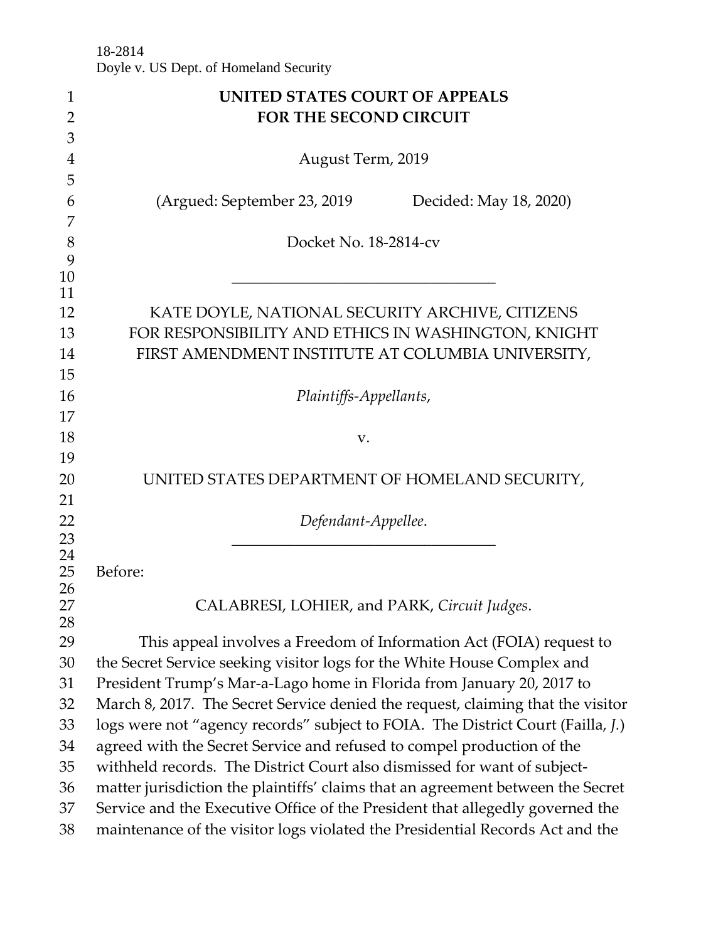18-2814 Doyle v. US Dept. of Homeland Security

| 1              | UNITED STATES COURT OF APPEALS                                                  |
|----------------|---------------------------------------------------------------------------------|
| $\overline{2}$ | FOR THE SECOND CIRCUIT                                                          |
| 3              |                                                                                 |
| 4              | August Term, 2019                                                               |
| 5              |                                                                                 |
| 6              | (Argued: September 23, 2019<br>Decided: May 18, 2020)                           |
| 7              |                                                                                 |
| 8              | Docket No. 18-2814-cv                                                           |
| 9<br>10        |                                                                                 |
| 11             |                                                                                 |
| 12             | KATE DOYLE, NATIONAL SECURITY ARCHIVE, CITIZENS                                 |
| 13             | FOR RESPONSIBILITY AND ETHICS IN WASHINGTON, KNIGHT                             |
| 14             | FIRST AMENDMENT INSTITUTE AT COLUMBIA UNIVERSITY,                               |
| 15             |                                                                                 |
| 16             | Plaintiffs-Appellants,                                                          |
| 17             |                                                                                 |
| 18             | V.                                                                              |
| 19             |                                                                                 |
| 20             | UNITED STATES DEPARTMENT OF HOMELAND SECURITY,                                  |
| 21             |                                                                                 |
| 22             | Defendant-Appellee.                                                             |
| 23             |                                                                                 |
| 24             |                                                                                 |
| 25<br>26       | Before:                                                                         |
| 27             | CALABRESI, LOHIER, and PARK, Circuit Judges.                                    |
| 28             |                                                                                 |
| 29             | This appeal involves a Freedom of Information Act (FOIA) request to             |
| 30             | the Secret Service seeking visitor logs for the White House Complex and         |
| 31             | President Trump's Mar-a-Lago home in Florida from January 20, 2017 to           |
| 32             | March 8, 2017. The Secret Service denied the request, claiming that the visitor |
| 33             | logs were not "agency records" subject to FOIA. The District Court (Failla, J.) |
| 34             | agreed with the Secret Service and refused to compel production of the          |
| 35             | withheld records. The District Court also dismissed for want of subject-        |
| 36             | matter jurisdiction the plaintiffs' claims that an agreement between the Secret |
| 37             | Service and the Executive Office of the President that allegedly governed the   |
| 38             | maintenance of the visitor logs violated the Presidential Records Act and the   |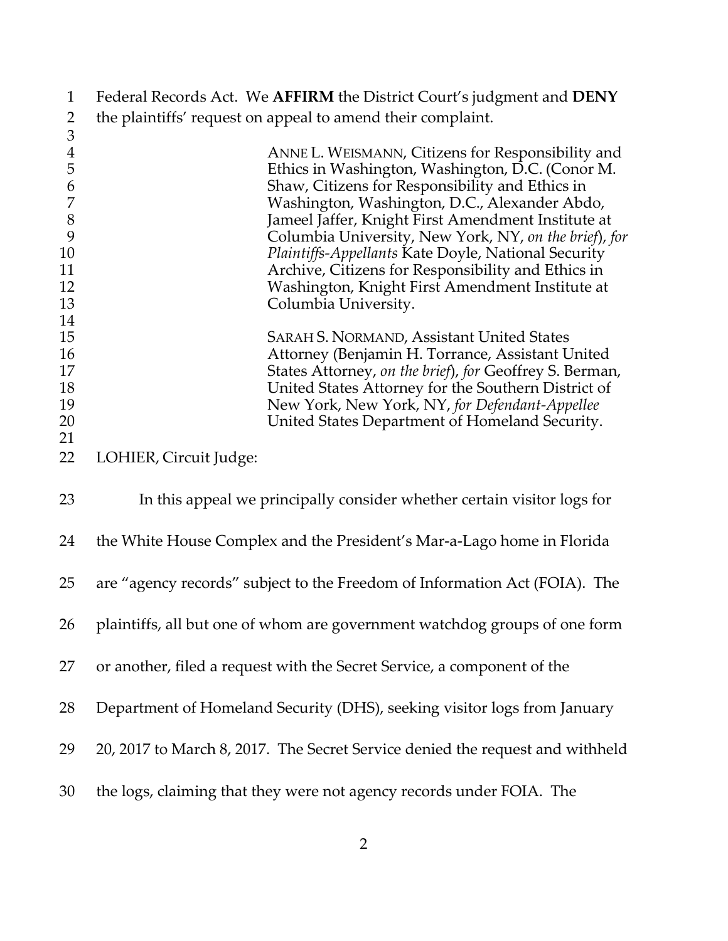| $\mathbf{1}$   | Federal Records Act. We AFFIRM the District Court's judgment and DENY                                          |
|----------------|----------------------------------------------------------------------------------------------------------------|
| 2              | the plaintiffs' request on appeal to amend their complaint.                                                    |
| $\mathfrak{Z}$ |                                                                                                                |
| $\overline{4}$ | ANNE L. WEISMANN, Citizens for Responsibility and                                                              |
| 5              | Ethics in Washington, Washington, D.C. (Conor M.                                                               |
| 6              | Shaw, Citizens for Responsibility and Ethics in                                                                |
| $\overline{7}$ | Washington, Washington, D.C., Alexander Abdo,                                                                  |
| $\,8\,$        | Jameel Jaffer, Knight First Amendment Institute at                                                             |
| 9              | Columbia University, New York, NY, on the brief), for                                                          |
| 10             | Plaintiffs-Appellants Kate Doyle, National Security                                                            |
| 11             | Archive, Citizens for Responsibility and Ethics in                                                             |
| 12             | Washington, Knight First Amendment Institute at                                                                |
| 13             | Columbia University.                                                                                           |
| 14             |                                                                                                                |
| 15             | <b>SARAH S. NORMAND, Assistant United States</b>                                                               |
| 16<br>17       | Attorney (Benjamin H. Torrance, Assistant United                                                               |
| 18             | States Attorney, on the brief), for Geoffrey S. Berman,<br>United States Attorney for the Southern District of |
| 19             | New York, New York, NY, for Defendant-Appellee                                                                 |
| 20             | United States Department of Homeland Security.                                                                 |
| 21             |                                                                                                                |
| 22             | LOHIER, Circuit Judge:                                                                                         |
| 23             | In this appeal we principally consider whether certain visitor logs for                                        |
| 24             | the White House Complex and the President's Mar-a-Lago home in Florida                                         |
| 25             | are "agency records" subject to the Freedom of Information Act (FOIA). The                                     |
| 26             | plaintiffs, all but one of whom are government watchdog groups of one form                                     |
| 27             | or another, filed a request with the Secret Service, a component of the                                        |
| 28             | Department of Homeland Security (DHS), seeking visitor logs from January                                       |
| 29             | 20, 2017 to March 8, 2017. The Secret Service denied the request and withheld                                  |
| 30             | the logs, claiming that they were not agency records under FOIA. The                                           |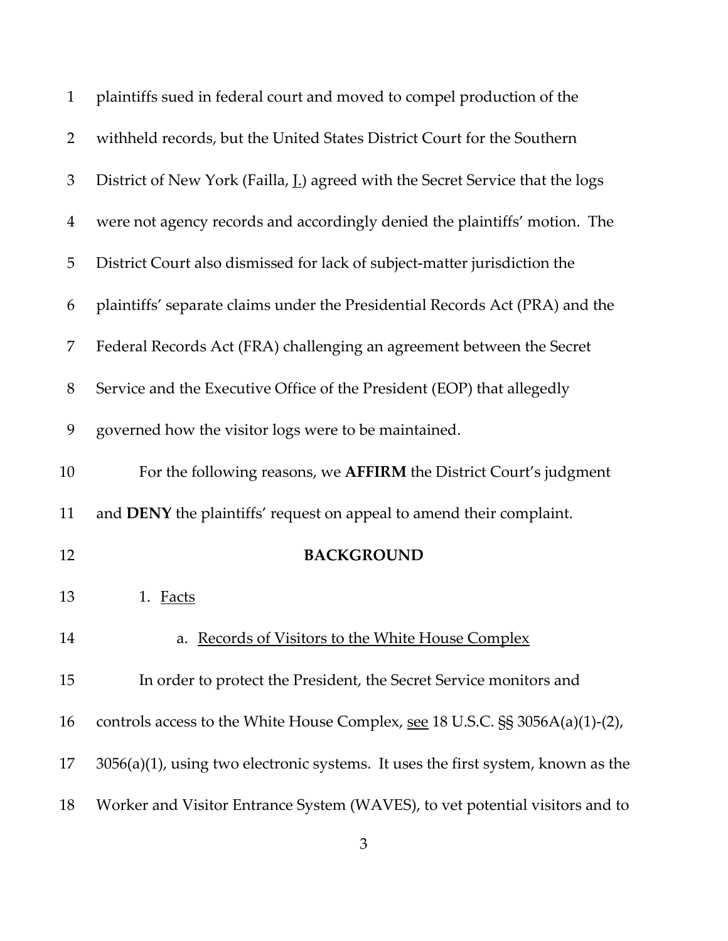| $\mathbf{1}$   | plaintiffs sued in federal court and moved to compel production of the                 |
|----------------|----------------------------------------------------------------------------------------|
| $\overline{2}$ | withheld records, but the United States District Court for the Southern                |
| 3              | District of New York (Failla, <u>I.</u> ) agreed with the Secret Service that the logs |
| 4              | were not agency records and accordingly denied the plaintiffs' motion. The             |
| 5              | District Court also dismissed for lack of subject-matter jurisdiction the              |
| 6              | plaintiffs' separate claims under the Presidential Records Act (PRA) and the           |
| 7              | Federal Records Act (FRA) challenging an agreement between the Secret                  |
| 8              | Service and the Executive Office of the President (EOP) that allegedly                 |
| 9              | governed how the visitor logs were to be maintained.                                   |
| 10             | For the following reasons, we AFFIRM the District Court's judgment                     |
| 11             | and DENY the plaintiffs' request on appeal to amend their complaint.                   |
| 12             | <b>BACKGROUND</b>                                                                      |
| 13             | 1. Facts                                                                               |
| 14             | a. Records of Visitors to the White House Complex                                      |
| 15             | In order to protect the President, the Secret Service monitors and                     |
| 16             | controls access to the White House Complex, see 18 U.S.C. §§ 3056A(a)(1)-(2),          |
| 17             | $3056(a)(1)$ , using two electronic systems. It uses the first system, known as the    |
| 18             | Worker and Visitor Entrance System (WAVES), to vet potential visitors and to           |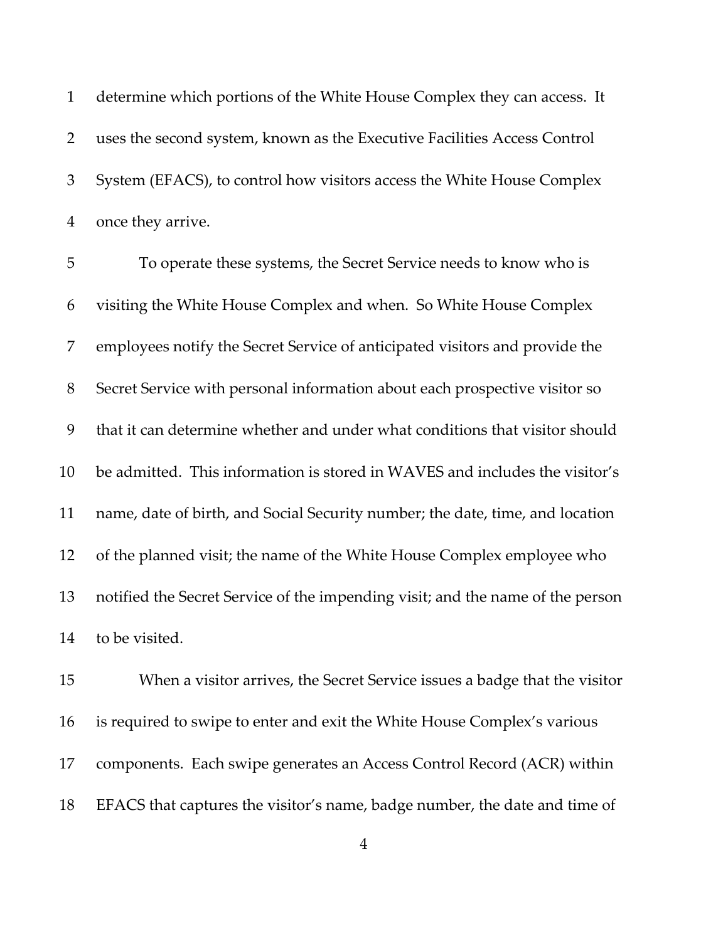determine which portions of the White House Complex they can access. It uses the second system, known as the Executive Facilities Access Control System (EFACS), to control how visitors access the White House Complex once they arrive.

 To operate these systems, the Secret Service needs to know who is visiting the White House Complex and when. So White House Complex employees notify the Secret Service of anticipated visitors and provide the Secret Service with personal information about each prospective visitor so that it can determine whether and under what conditions that visitor should be admitted. This information is stored in WAVES and includes the visitor's name, date of birth, and Social Security number; the date, time, and location of the planned visit; the name of the White House Complex employee who notified the Secret Service of the impending visit; and the name of the person to be visited.

 When a visitor arrives, the Secret Service issues a badge that the visitor is required to swipe to enter and exit the White House Complex's various components. Each swipe generates an Access Control Record (ACR) within EFACS that captures the visitor's name, badge number, the date and time of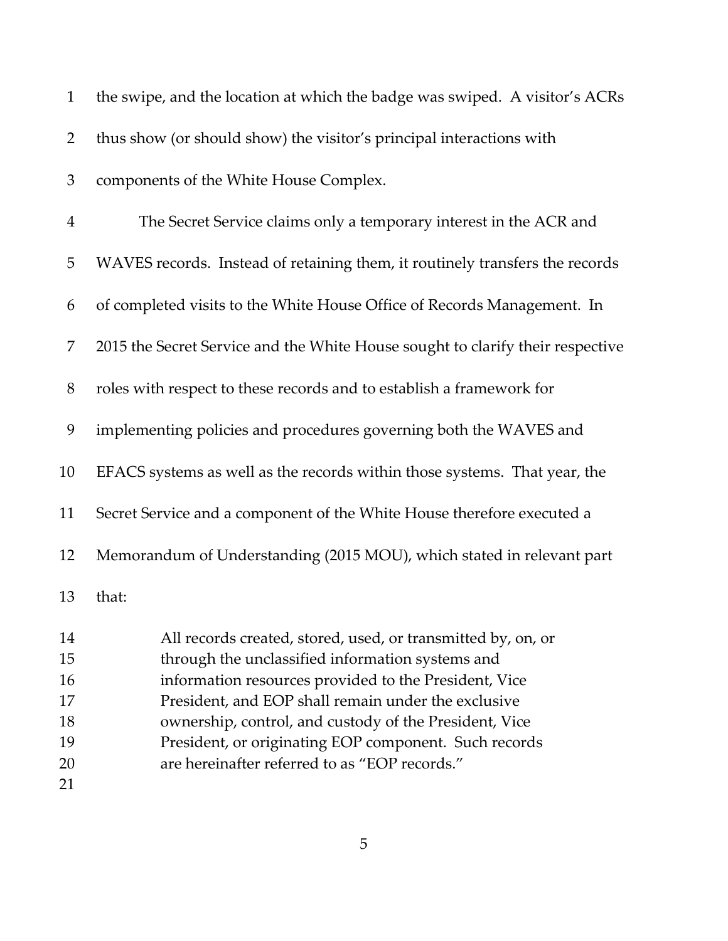| $\mathbf{1}$         | the swipe, and the location at which the badge was swiped. A visitor's ACRs                                                                                                                                                      |
|----------------------|----------------------------------------------------------------------------------------------------------------------------------------------------------------------------------------------------------------------------------|
| $\overline{2}$       | thus show (or should show) the visitor's principal interactions with                                                                                                                                                             |
| 3                    | components of the White House Complex.                                                                                                                                                                                           |
| $\overline{4}$       | The Secret Service claims only a temporary interest in the ACR and                                                                                                                                                               |
| 5                    | WAVES records. Instead of retaining them, it routinely transfers the records                                                                                                                                                     |
| 6                    | of completed visits to the White House Office of Records Management. In                                                                                                                                                          |
| 7                    | 2015 the Secret Service and the White House sought to clarify their respective                                                                                                                                                   |
| 8                    | roles with respect to these records and to establish a framework for                                                                                                                                                             |
| 9                    | implementing policies and procedures governing both the WAVES and                                                                                                                                                                |
| 10                   | EFACS systems as well as the records within those systems. That year, the                                                                                                                                                        |
| 11                   | Secret Service and a component of the White House therefore executed a                                                                                                                                                           |
| 12                   | Memorandum of Understanding (2015 MOU), which stated in relevant part                                                                                                                                                            |
| 13                   | that:                                                                                                                                                                                                                            |
| 14<br>15<br>16<br>17 | All records created, stored, used, or transmitted by, on, or<br>through the unclassified information systems and<br>information resources provided to the President, Vice<br>President, and EOP shall remain under the exclusive |
| 18                   | ownership, control, and custody of the President, Vice                                                                                                                                                                           |
| 19                   | President, or originating EOP component. Such records                                                                                                                                                                            |
| 20                   | are hereinafter referred to as "EOP records."                                                                                                                                                                                    |
| 21                   |                                                                                                                                                                                                                                  |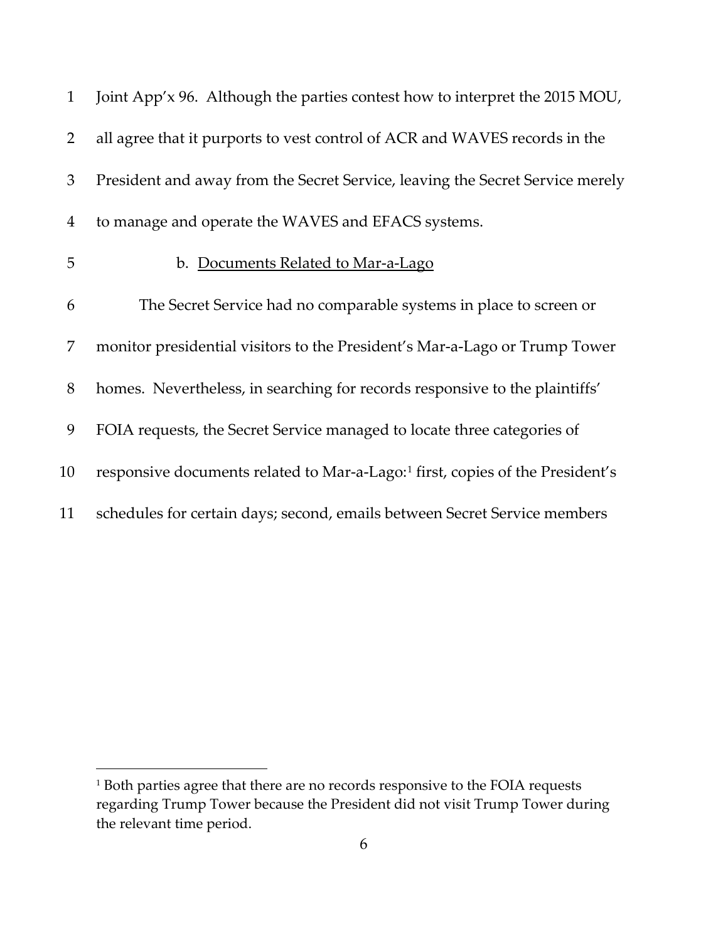| $\mathbf{1}$   | Joint App'x 96. Although the parties contest how to interpret the 2015 MOU,               |
|----------------|-------------------------------------------------------------------------------------------|
| $\overline{2}$ | all agree that it purports to vest control of ACR and WAVES records in the                |
| 3              | President and away from the Secret Service, leaving the Secret Service merely             |
| $\overline{4}$ | to manage and operate the WAVES and EFACS systems.                                        |
| 5              | b. Documents Related to Mar-a-Lago                                                        |
| 6              | The Secret Service had no comparable systems in place to screen or                        |
| 7              | monitor presidential visitors to the President's Mar-a-Lago or Trump Tower                |
| 8              | homes. Nevertheless, in searching for records responsive to the plaintiffs'               |
| 9              | FOIA requests, the Secret Service managed to locate three categories of                   |
| 10             | responsive documents related to Mar-a-Lago: <sup>1</sup> first, copies of the President's |
| 11             | schedules for certain days; second, emails between Secret Service members                 |

<span id="page-5-0"></span><sup>&</sup>lt;sup>1</sup> Both parties agree that there are no records responsive to the FOIA requests regarding Trump Tower because the President did not visit Trump Tower during the relevant time period.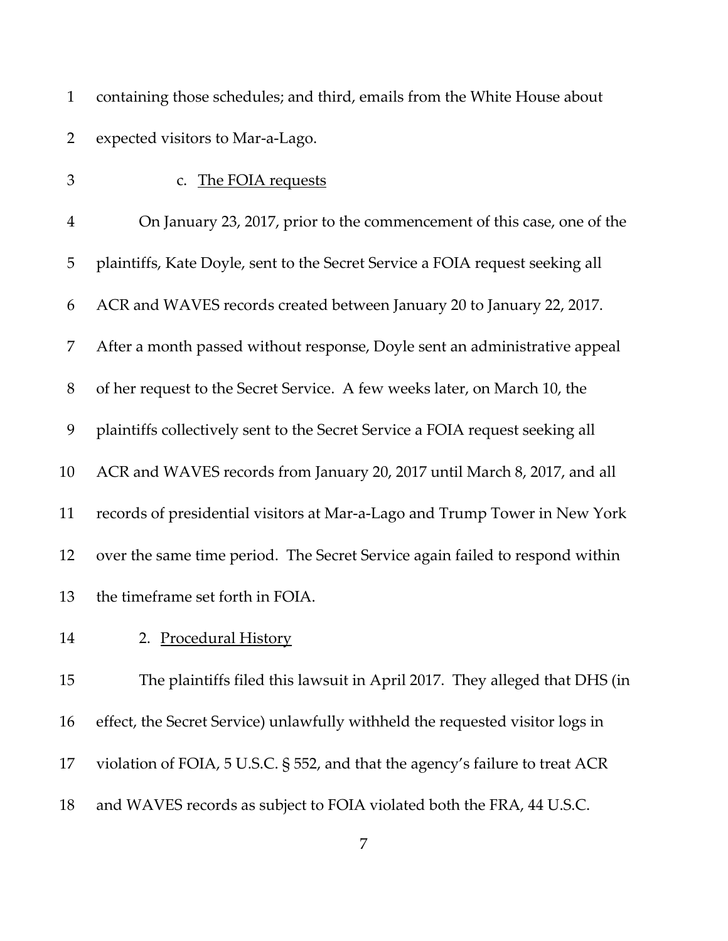| $\mathbf{1}$   | containing those schedules; and third, emails from the White House about      |
|----------------|-------------------------------------------------------------------------------|
| $\overline{2}$ | expected visitors to Mar-a-Lago.                                              |
| 3              | c. The FOIA requests                                                          |
| $\overline{4}$ | On January 23, 2017, prior to the commencement of this case, one of the       |
| 5              | plaintiffs, Kate Doyle, sent to the Secret Service a FOIA request seeking all |
| 6              | ACR and WAVES records created between January 20 to January 22, 2017.         |
| 7              | After a month passed without response, Doyle sent an administrative appeal    |
| 8              | of her request to the Secret Service. A few weeks later, on March 10, the     |
| 9              | plaintiffs collectively sent to the Secret Service a FOIA request seeking all |
| 10             | ACR and WAVES records from January 20, 2017 until March 8, 2017, and all      |
| 11             | records of presidential visitors at Mar-a-Lago and Trump Tower in New York    |
| 12             | over the same time period. The Secret Service again failed to respond within  |
| 13             | the timeframe set forth in FOIA.                                              |
| 14             | 2. Procedural History                                                         |
| 15             | The plaintiffs filed this lawsuit in April 2017. They alleged that DHS (in    |
| 16             | effect, the Secret Service) unlawfully withheld the requested visitor logs in |
| 17             | violation of FOIA, 5 U.S.C. § 552, and that the agency's failure to treat ACR |
|                |                                                                               |

and WAVES records as subject to FOIA violated both the FRA, 44 U.S.C.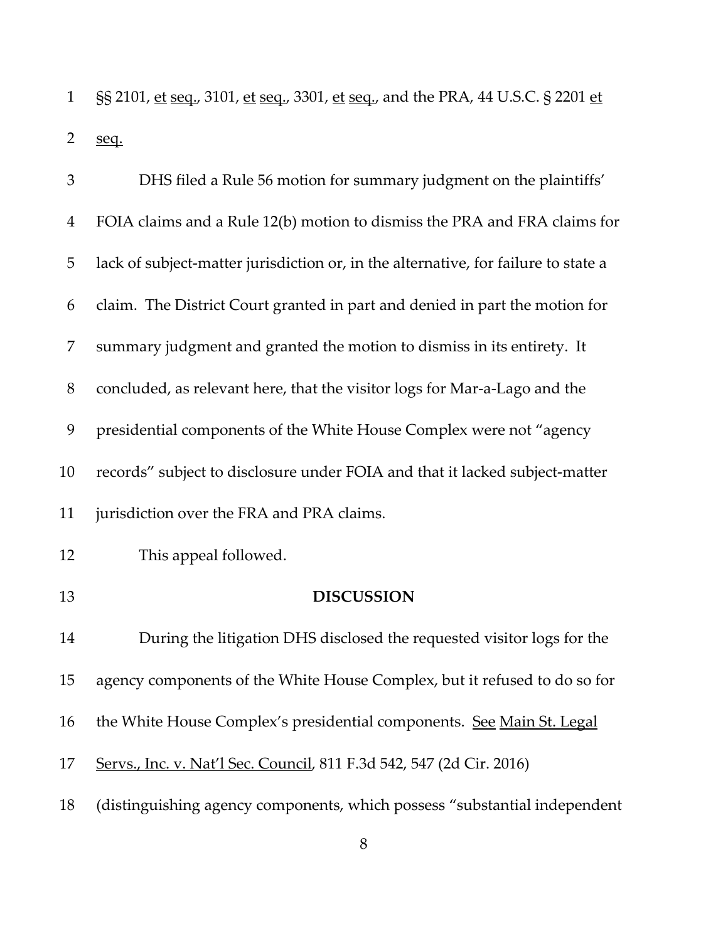1 §§ 2101, et seq., 3101, et seq., 3301, et seq., and the PRA, 44 U.S.C. § 2201 et seq.

| 3              | DHS filed a Rule 56 motion for summary judgment on the plaintiffs'                 |
|----------------|------------------------------------------------------------------------------------|
| $\overline{4}$ | FOIA claims and a Rule 12(b) motion to dismiss the PRA and FRA claims for          |
| 5              | lack of subject-matter jurisdiction or, in the alternative, for failure to state a |
| 6              | claim. The District Court granted in part and denied in part the motion for        |
| 7              | summary judgment and granted the motion to dismiss in its entirety. It             |
| 8              | concluded, as relevant here, that the visitor logs for Mar-a-Lago and the          |
| 9              | presidential components of the White House Complex were not "agency                |
| 10             | records" subject to disclosure under FOIA and that it lacked subject-matter        |
| 11             | jurisdiction over the FRA and PRA claims.                                          |
| 12             | This appeal followed.                                                              |
| 13             | <b>DISCUSSION</b>                                                                  |
| 14             | During the litigation DHS disclosed the requested visitor logs for the             |
| 15             | agency components of the White House Complex, but it refused to do so for          |
| 16             | the White House Complex's presidential components. See Main St. Legal              |
| 17             | Servs., Inc. v. Nat'l Sec. Council, 811 F.3d 542, 547 (2d Cir. 2016)               |
| 18             | (distinguishing agency components, which possess "substantial independent          |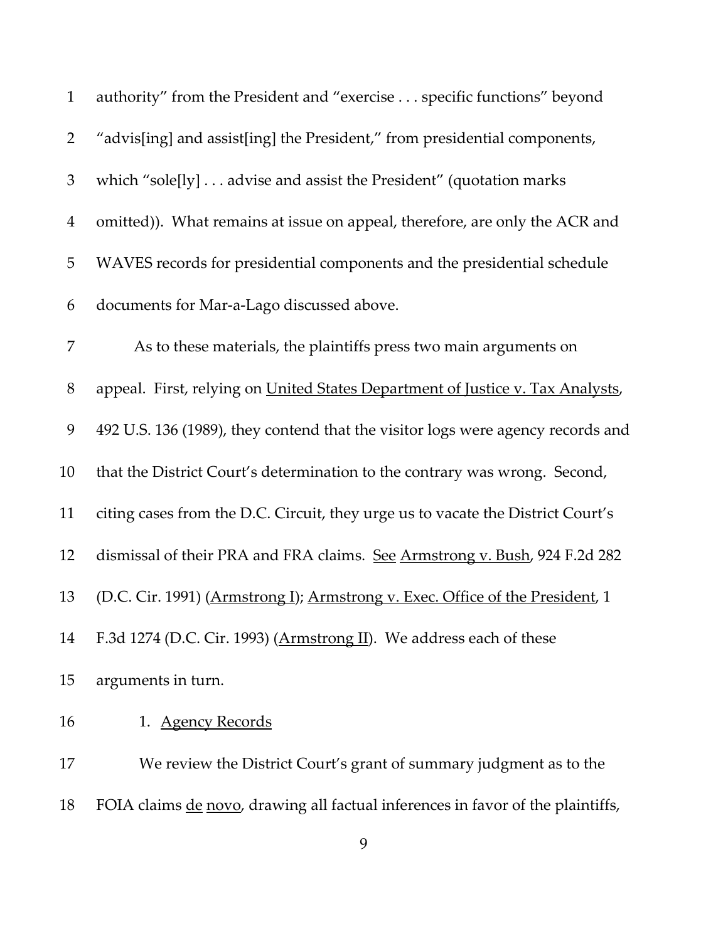| $\mathbf{1}$   | authority" from the President and "exercise specific functions" beyond          |
|----------------|---------------------------------------------------------------------------------|
| $\overline{2}$ | "advis[ing] and assist[ing] the President," from presidential components,       |
| 3              | which "sole[ly] advise and assist the President" (quotation marks               |
| $\overline{4}$ | omitted)). What remains at issue on appeal, therefore, are only the ACR and     |
| 5              | WAVES records for presidential components and the presidential schedule         |
| 6              | documents for Mar-a-Lago discussed above.                                       |
| 7              | As to these materials, the plaintiffs press two main arguments on               |
| $8\,$          | appeal. First, relying on United States Department of Justice v. Tax Analysts,  |
| 9              | 492 U.S. 136 (1989), they contend that the visitor logs were agency records and |
| 10             | that the District Court's determination to the contrary was wrong. Second,      |
| 11             | citing cases from the D.C. Circuit, they urge us to vacate the District Court's |
| 12             | dismissal of their PRA and FRA claims. See Armstrong v. Bush, 924 F.2d 282      |
| 13             | (D.C. Cir. 1991) (Armstrong I); Armstrong v. Exec. Office of the President, 1   |
| 14             | F.3d 1274 (D.C. Cir. 1993) (Armstrong II). We address each of these             |
| 15             | arguments in turn.                                                              |
| 16             | 1. Agency Records                                                               |
| 17             | We review the District Court's grant of summary judgment as to the              |
| 18             | FOIA claims de novo, drawing all factual inferences in favor of the plaintiffs, |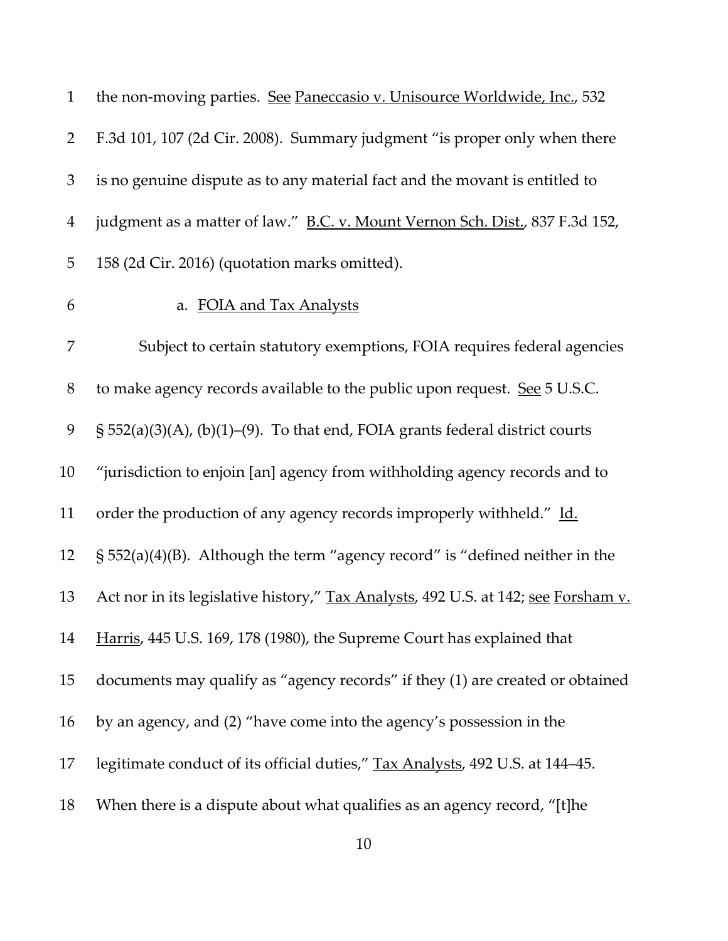| $\mathbf{1}$   | the non-moving parties. See Paneccasio v. Unisource Worldwide, Inc., 532           |
|----------------|------------------------------------------------------------------------------------|
| $\overline{2}$ | F.3d 101, 107 (2d Cir. 2008). Summary judgment "is proper only when there          |
| 3              | is no genuine dispute as to any material fact and the movant is entitled to        |
| $\overline{4}$ | judgment as a matter of law." B.C. v. Mount Vernon Sch. Dist., 837 F.3d 152,       |
| 5              | 158 (2d Cir. 2016) (quotation marks omitted).                                      |
| 6              | a. FOIA and Tax Analysts                                                           |
| 7              | Subject to certain statutory exemptions, FOIA requires federal agencies            |
| $8\,$          | to make agency records available to the public upon request. See 5 U.S.C.          |
| 9              | $\S$ 552(a)(3)(A), (b)(1)–(9). To that end, FOIA grants federal district courts    |
| 10             | "jurisdiction to enjoin [an] agency from withholding agency records and to         |
| 11             | order the production of any agency records improperly withheld." Id.               |
| 12             | $\S$ 552(a)(4)(B). Although the term "agency record" is "defined neither in the    |
| 13             | Act nor in its legislative history," Tax Analysts, 492 U.S. at 142; see Forsham v. |
| 14             | Harris, 445 U.S. 169, 178 (1980), the Supreme Court has explained that             |
| 15             | documents may qualify as "agency records" if they (1) are created or obtained      |
| 16             | by an agency, and (2) "have come into the agency's possession in the               |
| 17             | legitimate conduct of its official duties," Tax Analysts, 492 U.S. at 144-45.      |
| 18             | When there is a dispute about what qualifies as an agency record, "[t] he          |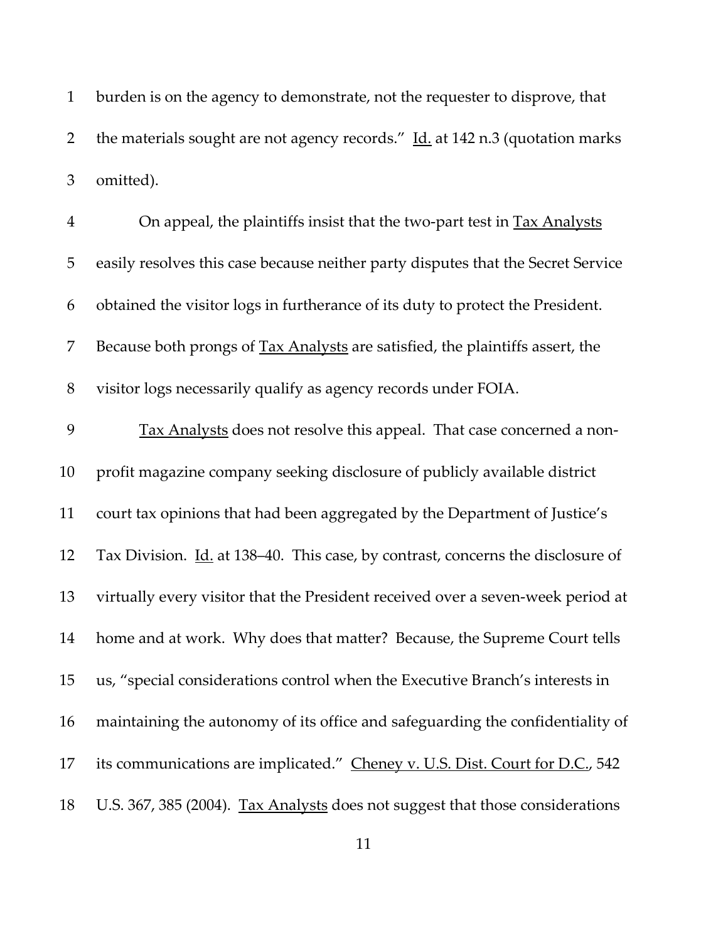burden is on the agency to demonstrate, not the requester to disprove, that 2 the materials sought are not agency records."  $\underline{\text{Id.}}$  at 142 n.3 (quotation marks omitted).

| $\overline{4}$ | On appeal, the plaintiffs insist that the two-part test in <b>Tax Analysts</b>         |
|----------------|----------------------------------------------------------------------------------------|
| 5              | easily resolves this case because neither party disputes that the Secret Service       |
| 6              | obtained the visitor logs in furtherance of its duty to protect the President.         |
| 7              | Because both prongs of Tax Analysts are satisfied, the plaintiffs assert, the          |
| $8\,$          | visitor logs necessarily qualify as agency records under FOIA.                         |
| 9              | Tax Analysts does not resolve this appeal. That case concerned a non-                  |
| 10             | profit magazine company seeking disclosure of publicly available district              |
| 11             | court tax opinions that had been aggregated by the Department of Justice's             |
| 12             | Tax Division. <i>Id.</i> at 138-40. This case, by contrast, concerns the disclosure of |
| 13             | virtually every visitor that the President received over a seven-week period at        |
| 14             | home and at work. Why does that matter? Because, the Supreme Court tells               |
| 15             | us, "special considerations control when the Executive Branch's interests in           |
| 16             | maintaining the autonomy of its office and safeguarding the confidentiality of         |
| 17             | its communications are implicated." Cheney v. U.S. Dist. Court for D.C., 542           |
| 18             | U.S. 367, 385 (2004). Tax Analysts does not suggest that those considerations          |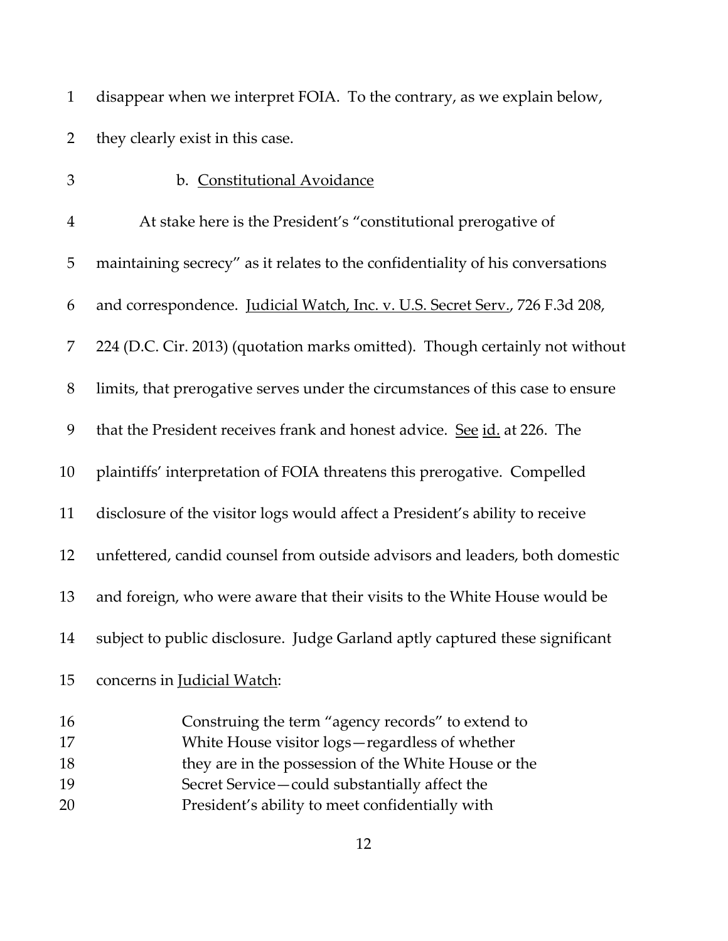| 1 disappear when we interpret FOIA. To the contrary, as we explain below, |
|---------------------------------------------------------------------------|
| 2 they clearly exist in this case.                                        |

| 3                | b. Constitutional Avoidance                                                                         |
|------------------|-----------------------------------------------------------------------------------------------------|
| $\boldsymbol{4}$ | At stake here is the President's "constitutional prerogative of                                     |
| 5                | maintaining secrecy" as it relates to the confidentiality of his conversations                      |
| 6                | and correspondence. Judicial Watch, Inc. v. U.S. Secret Serv., 726 F.3d 208,                        |
| 7                | 224 (D.C. Cir. 2013) (quotation marks omitted). Though certainly not without                        |
| 8                | limits, that prerogative serves under the circumstances of this case to ensure                      |
| 9                | that the President receives frank and honest advice. See id. at 226. The                            |
| 10               | plaintiffs' interpretation of FOIA threatens this prerogative. Compelled                            |
| 11               | disclosure of the visitor logs would affect a President's ability to receive                        |
| 12               | unfettered, candid counsel from outside advisors and leaders, both domestic                         |
| 13               | and foreign, who were aware that their visits to the White House would be                           |
| 14               | subject to public disclosure. Judge Garland aptly captured these significant                        |
| 15               | concerns in Judicial Watch:                                                                         |
| 16<br>17         | Construing the term "agency records" to extend to<br>White House visitor logs-regardless of whether |
| 18               | they are in the possession of the White House or the                                                |
| 19               | Secret Service-could substantially affect the                                                       |
|                  |                                                                                                     |

President's ability to meet confidentially with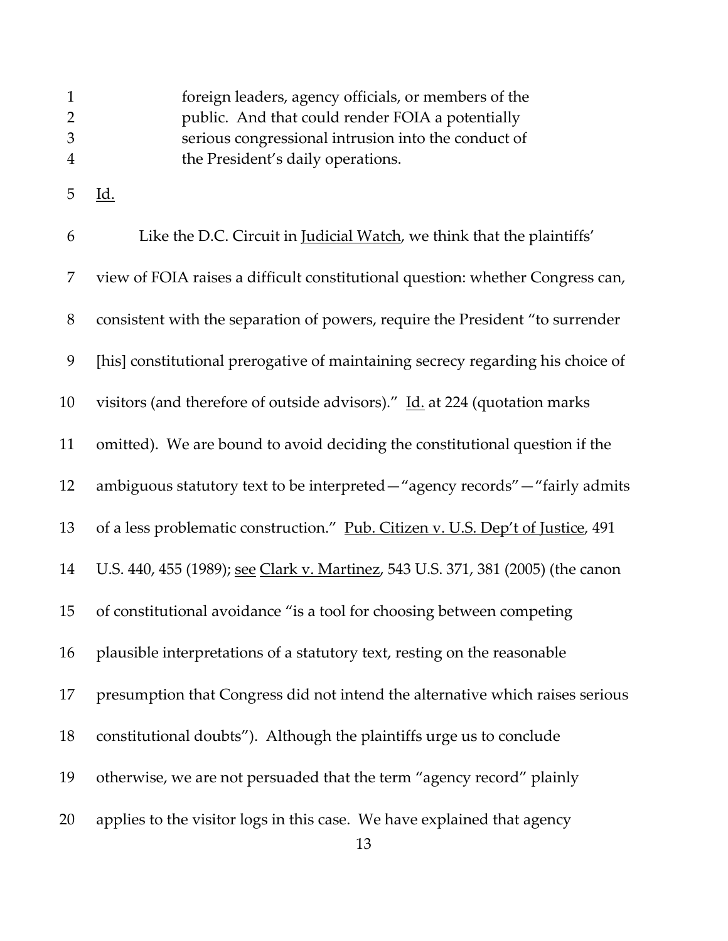|               | foreign leaders, agency officials, or members of the |
|---------------|------------------------------------------------------|
| $\mathcal{P}$ | public. And that could render FOIA a potentially     |
| 3             | serious congressional intrusion into the conduct of  |
| 4             | the President's daily operations.                    |

Id.

| 6     | Like the D.C. Circuit in <i>Judicial Watch</i> , we think that the plaintiffs'   |
|-------|----------------------------------------------------------------------------------|
| 7     | view of FOIA raises a difficult constitutional question: whether Congress can,   |
| $8\,$ | consistent with the separation of powers, require the President "to surrender    |
| 9     | [his] constitutional prerogative of maintaining secrecy regarding his choice of  |
| 10    | visitors (and therefore of outside advisors)." Id. at 224 (quotation marks       |
| 11    | omitted). We are bound to avoid deciding the constitutional question if the      |
| 12    | ambiguous statutory text to be interpreted—"agency records"—"fairly admits       |
| 13    | of a less problematic construction." Pub. Citizen v. U.S. Dep't of Justice, 491  |
| 14    | U.S. 440, 455 (1989); see Clark v. Martinez, 543 U.S. 371, 381 (2005) (the canon |
| 15    | of constitutional avoidance "is a tool for choosing between competing            |
| 16    | plausible interpretations of a statutory text, resting on the reasonable         |
| 17    | presumption that Congress did not intend the alternative which raises serious    |
| 18    | constitutional doubts"). Although the plaintiffs urge us to conclude             |
| 19    | otherwise, we are not persuaded that the term "agency record" plainly            |
| 20    | applies to the visitor logs in this case. We have explained that agency          |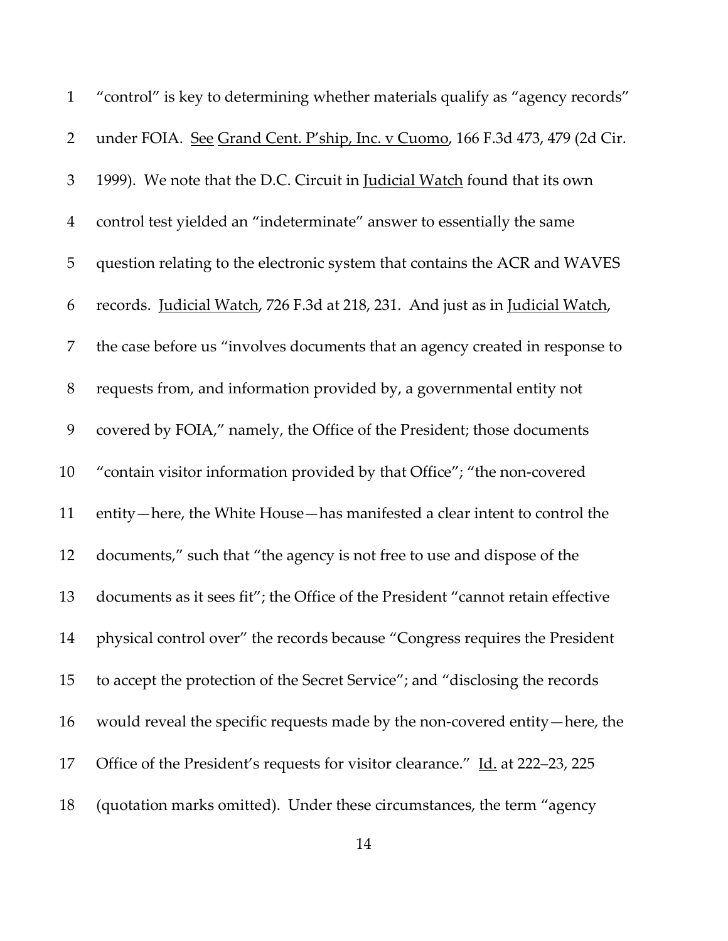| $\mathbf{1}$   | "control" is key to determining whether materials qualify as "agency records"    |
|----------------|----------------------------------------------------------------------------------|
| $\overline{2}$ | under FOIA. See Grand Cent. P'ship, Inc. v Cuomo, 166 F.3d 473, 479 (2d Cir.     |
| $\mathfrak{Z}$ | 1999). We note that the D.C. Circuit in <i>Judicial Watch</i> found that its own |
| $\overline{4}$ | control test yielded an "indeterminate" answer to essentially the same           |
| 5              | question relating to the electronic system that contains the ACR and WAVES       |
| 6              | records. Judicial Watch, 726 F.3d at 218, 231. And just as in Judicial Watch,    |
| 7              | the case before us "involves documents that an agency created in response to     |
| $8\,$          | requests from, and information provided by, a governmental entity not            |
| 9              | covered by FOIA," namely, the Office of the President; those documents           |
| 10             | "contain visitor information provided by that Office"; "the non-covered          |
| 11             | entity—here, the White House—has manifested a clear intent to control the        |
| 12             | documents," such that "the agency is not free to use and dispose of the          |
| 13             | documents as it sees fit"; the Office of the President "cannot retain effective  |
| 14             | physical control over" the records because "Congress requires the President      |
| 15             | to accept the protection of the Secret Service"; and "disclosing the records"    |
| 16             | would reveal the specific requests made by the non-covered entity—here, the      |
| 17             | Office of the President's requests for visitor clearance." Id. at 222–23, 225    |
| 18             | (quotation marks omitted). Under these circumstances, the term "agency           |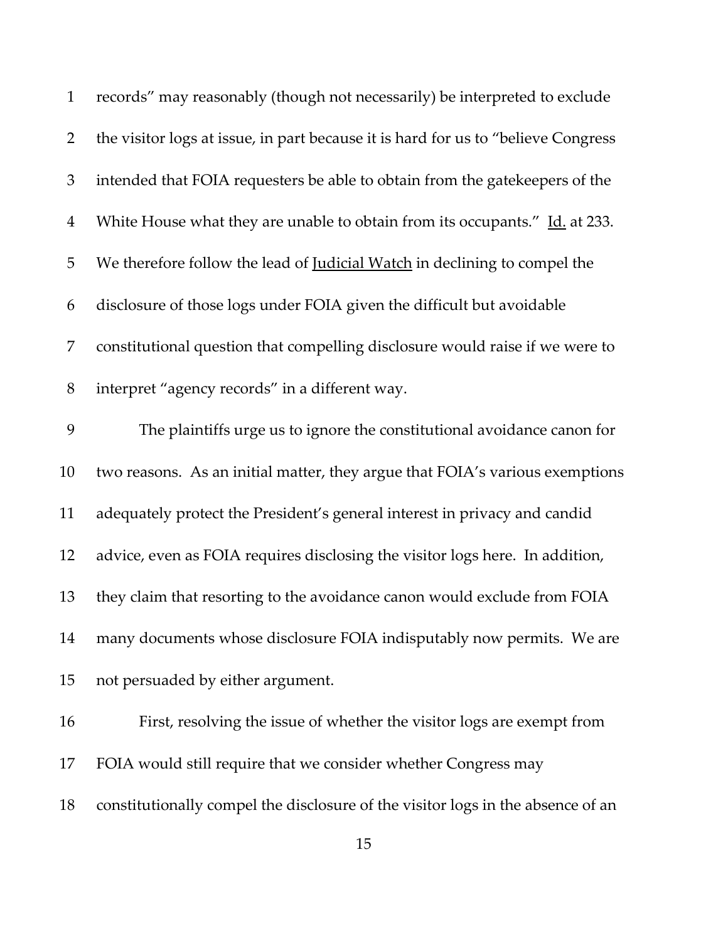| $\mathbf{1}$   | records" may reasonably (though not necessarily) be interpreted to exclude         |
|----------------|------------------------------------------------------------------------------------|
| $\overline{2}$ | the visitor logs at issue, in part because it is hard for us to "believe Congress" |
| $\mathfrak{Z}$ | intended that FOIA requesters be able to obtain from the gatekeepers of the        |
| $\overline{4}$ | White House what they are unable to obtain from its occupants." Id. at 233.        |
| 5              | We therefore follow the lead of <b>Judicial Watch</b> in declining to compel the   |
| 6              | disclosure of those logs under FOIA given the difficult but avoidable              |
| $\overline{7}$ | constitutional question that compelling disclosure would raise if we were to       |
| $8\,$          | interpret "agency records" in a different way.                                     |
| 9              | The plaintiffs urge us to ignore the constitutional avoidance canon for            |
| 10             | two reasons. As an initial matter, they argue that FOIA's various exemptions       |
| 11             | adequately protect the President's general interest in privacy and candid          |
| 12             | advice, even as FOIA requires disclosing the visitor logs here. In addition,       |
| 13             | they claim that resorting to the avoidance canon would exclude from FOIA           |
| 14             | many documents whose disclosure FOIA indisputably now permits. We are              |
| 15             | not persuaded by either argument.                                                  |
| 16             | First, resolving the issue of whether the visitor logs are exempt from             |
| 17             | FOIA would still require that we consider whether Congress may                     |
| 18             | constitutionally compel the disclosure of the visitor logs in the absence of an    |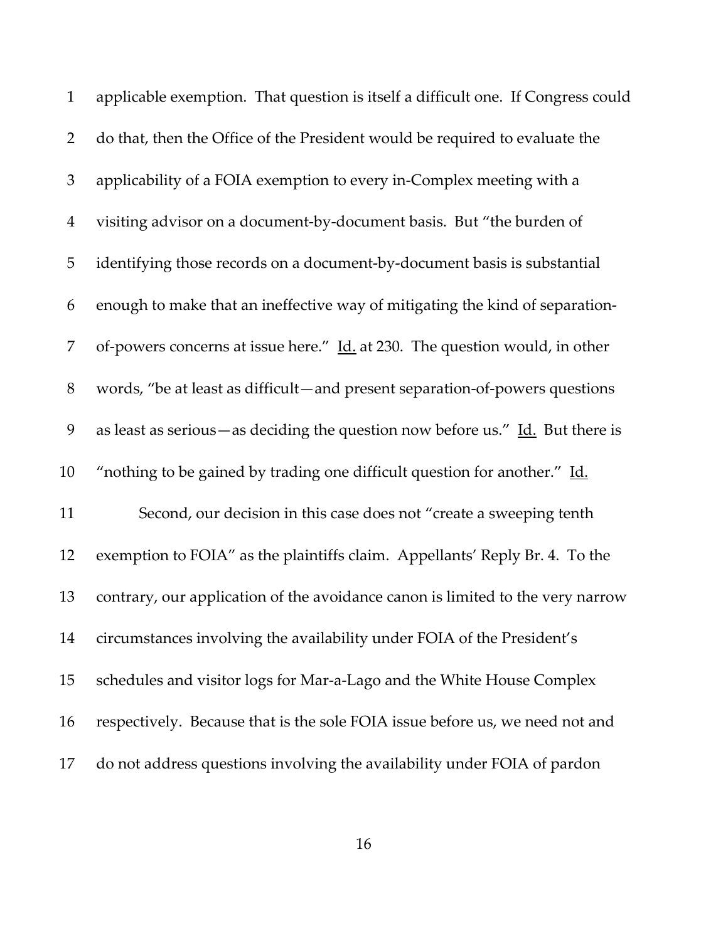| $\mathbf{1}$   | applicable exemption. That question is itself a difficult one. If Congress could               |
|----------------|------------------------------------------------------------------------------------------------|
| $\overline{2}$ | do that, then the Office of the President would be required to evaluate the                    |
| $\mathfrak{Z}$ | applicability of a FOIA exemption to every in-Complex meeting with a                           |
| $\overline{4}$ | visiting advisor on a document-by-document basis. But "the burden of                           |
| 5              | identifying those records on a document-by-document basis is substantial                       |
| 6              | enough to make that an ineffective way of mitigating the kind of separation-                   |
| 7              | of-powers concerns at issue here." Id. at 230. The question would, in other                    |
| $8\,$          | words, "be at least as difficult—and present separation-of-powers questions                    |
| 9              | as least as serious — as deciding the question now before us." $\underline{Id}$ . But there is |
| 10             | "nothing to be gained by trading one difficult question for another." Id.                      |
| 11             | Second, our decision in this case does not "create a sweeping tenth                            |
| 12             | exemption to FOIA" as the plaintiffs claim. Appellants' Reply Br. 4. To the                    |
| 13             | contrary, our application of the avoidance canon is limited to the very narrow                 |
| 14             | circumstances involving the availability under FOIA of the President's                         |
| 15             | schedules and visitor logs for Mar-a-Lago and the White House Complex                          |
| 16             | respectively. Because that is the sole FOIA issue before us, we need not and                   |
| 17             | do not address questions involving the availability under FOIA of pardon                       |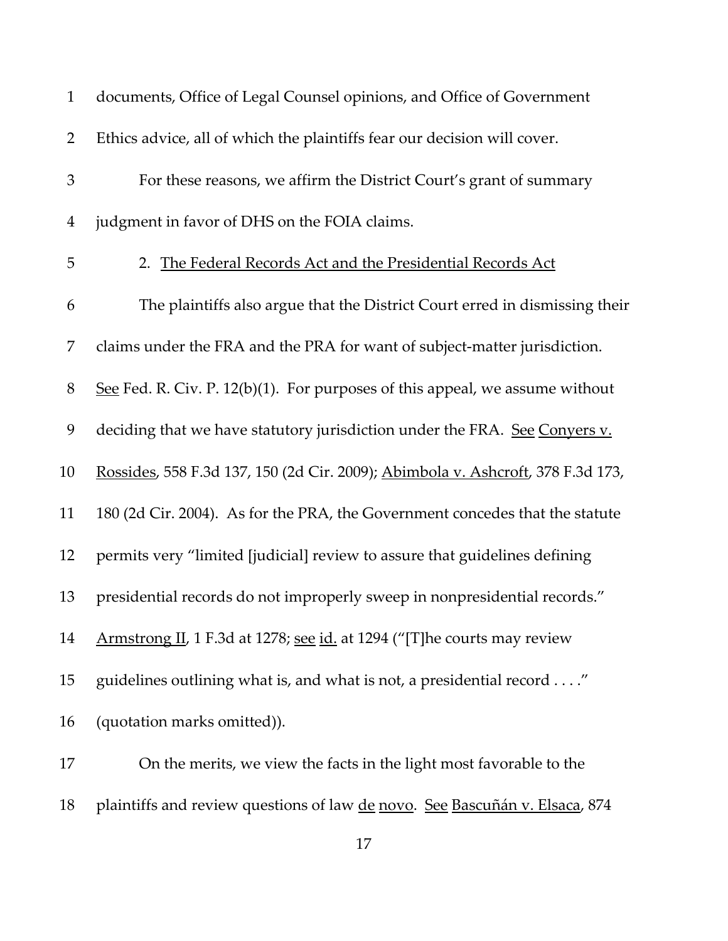| $\mathbf{1}$   | documents, Office of Legal Counsel opinions, and Office of Government           |
|----------------|---------------------------------------------------------------------------------|
| $\overline{2}$ | Ethics advice, all of which the plaintiffs fear our decision will cover.        |
| 3              | For these reasons, we affirm the District Court's grant of summary              |
| 4              | judgment in favor of DHS on the FOIA claims.                                    |
| 5              | 2. The Federal Records Act and the Presidential Records Act                     |
| 6              | The plaintiffs also argue that the District Court erred in dismissing their     |
| 7              | claims under the FRA and the PRA for want of subject-matter jurisdiction.       |
| $8\,$          | See Fed. R. Civ. P. $12(b)(1)$ . For purposes of this appeal, we assume without |
| 9              | deciding that we have statutory jurisdiction under the FRA. See Convers v.      |
| 10             | Rossides, 558 F.3d 137, 150 (2d Cir. 2009); Abimbola v. Ashcroft, 378 F.3d 173, |
| 11             | 180 (2d Cir. 2004). As for the PRA, the Government concedes that the statute    |
| 12             | permits very "limited [judicial] review to assure that guidelines defining      |
| 13             | presidential records do not improperly sweep in nonpresidential records."       |
| 14             | Armstrong II, 1 F.3d at 1278; see id. at 1294 ("[T] he courts may review        |
| 15             | guidelines outlining what is, and what is not, a presidential record"           |
| 16             | (quotation marks omitted)).                                                     |
| 17             | On the merits, we view the facts in the light most favorable to the             |
| 18             | plaintiffs and review questions of law de novo. See Bascuñán v. Elsaca, 874     |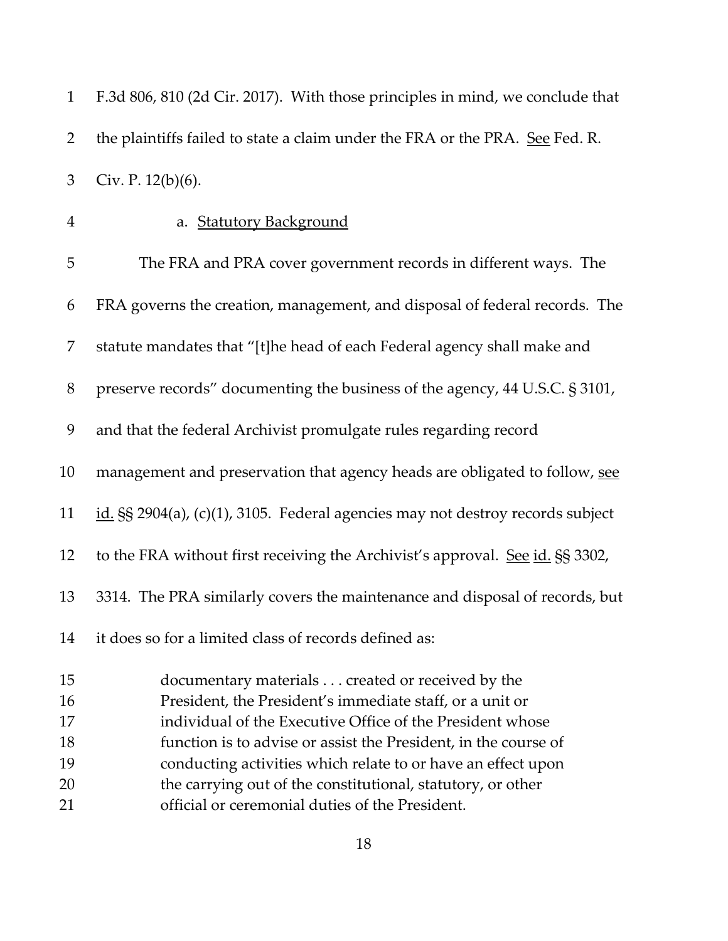| $\mathbf{1}$   | F.3d 806, 810 (2d Cir. 2017). With those principles in mind, we conclude that      |
|----------------|------------------------------------------------------------------------------------|
| $\overline{2}$ | the plaintiffs failed to state a claim under the FRA or the PRA. See Fed. R.       |
| 3              | Civ. P. $12(b)(6)$ .                                                               |
| $\overline{4}$ | a. Statutory Background                                                            |
| 5              | The FRA and PRA cover government records in different ways. The                    |
| 6              | FRA governs the creation, management, and disposal of federal records. The         |
| 7              | statute mandates that "[t]he head of each Federal agency shall make and            |
| $8\,$          | preserve records" documenting the business of the agency, 44 U.S.C. § 3101,        |
| 9              | and that the federal Archivist promulgate rules regarding record                   |
| 10             | management and preservation that agency heads are obligated to follow, see         |
| 11             | id. $\S$ § 2904(a), (c)(1), 3105. Federal agencies may not destroy records subject |
| 12             | to the FRA without first receiving the Archivist's approval. See id. §§ 3302,      |
| 13             | 3314. The PRA similarly covers the maintenance and disposal of records, but        |
| 14             | it does so for a limited class of records defined as:                              |
| 15             | documentary materials created or received by the                                   |
| 16             | President, the President's immediate staff, or a unit or                           |
| 17             | individual of the Executive Office of the President whose                          |
| 18             | function is to advise or assist the President, in the course of                    |
| 19             | conducting activities which relate to or have an effect upon                       |
| 20             | the carrying out of the constitutional, statutory, or other                        |
| 21             | official or ceremonial duties of the President.                                    |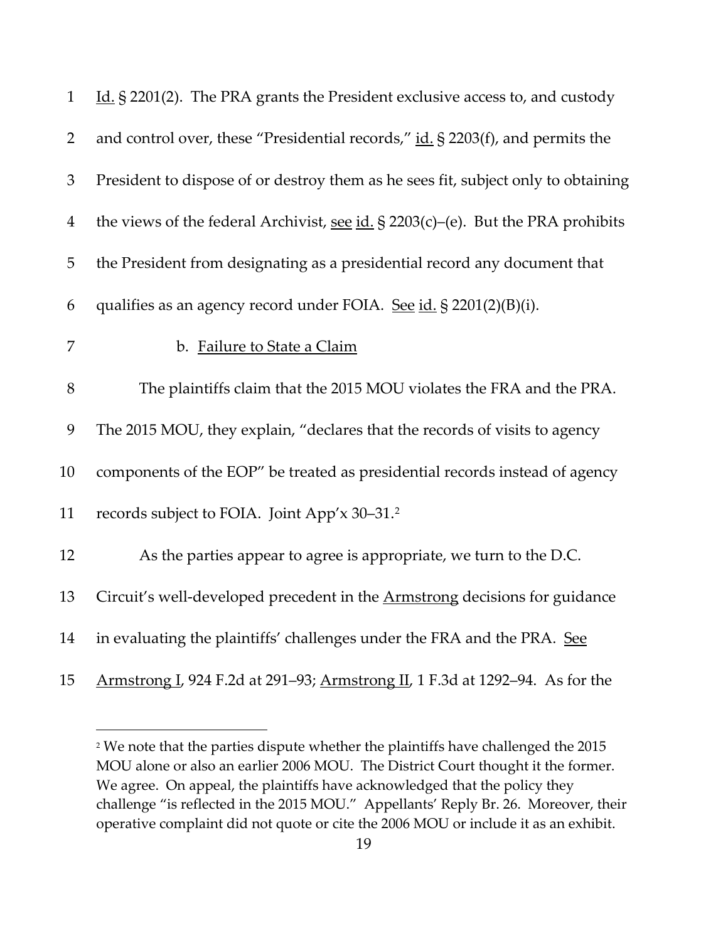| $\mathbf{1}$   | Id. § 2201(2). The PRA grants the President exclusive access to, and custody        |
|----------------|-------------------------------------------------------------------------------------|
| $\overline{2}$ | and control over, these "Presidential records," id. § 2203(f), and permits the      |
| 3              | President to dispose of or destroy them as he sees fit, subject only to obtaining   |
| $\overline{4}$ | the views of the federal Archivist, see $id. \S$ 2203(c)–(e). But the PRA prohibits |
| 5              | the President from designating as a presidential record any document that           |
| 6              | qualifies as an agency record under FOIA. See id. § 2201(2)(B)(i).                  |
| 7              | b. Failure to State a Claim                                                         |
| $8\,$          | The plaintiffs claim that the 2015 MOU violates the FRA and the PRA.                |
| 9              | The 2015 MOU, they explain, "declares that the records of visits to agency          |
| 10             | components of the EOP" be treated as presidential records instead of agency         |
| 11             | records subject to FOIA. Joint App'x 30–31.2                                        |
| 12             | As the parties appear to agree is appropriate, we turn to the D.C.                  |
| 13             | Circuit's well-developed precedent in the <b>Armstrong</b> decisions for guidance   |
| 14             | in evaluating the plaintiffs' challenges under the FRA and the PRA. See             |
| 15             | Armstrong I, 924 F.2d at 291–93; Armstrong II, 1 F.3d at 1292–94. As for the        |

<span id="page-18-0"></span><sup>&</sup>lt;sup>2</sup> We note that the parties dispute whether the plaintiffs have challenged the 2015 MOU alone or also an earlier 2006 MOU. The District Court thought it the former. We agree. On appeal, the plaintiffs have acknowledged that the policy they challenge "is reflected in the 2015 MOU." Appellants' Reply Br. 26. Moreover, their operative complaint did not quote or cite the 2006 MOU or include it as an exhibit.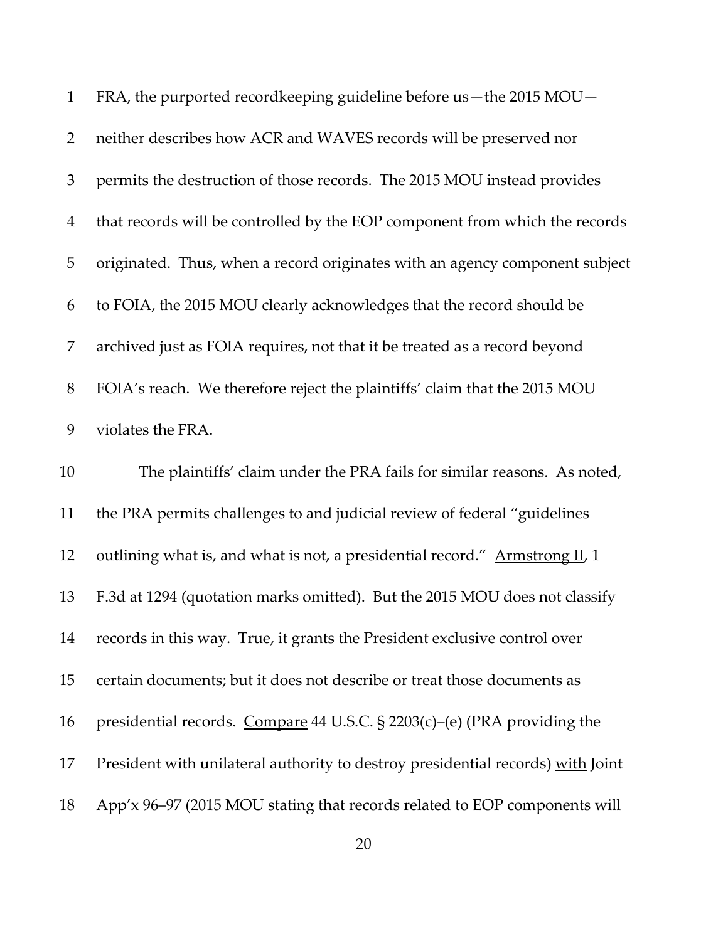| $\mathbf{1}$   | FRA, the purported recordkeeping guideline before us-the 2015 MOU-              |
|----------------|---------------------------------------------------------------------------------|
| $\overline{2}$ | neither describes how ACR and WAVES records will be preserved nor               |
| 3              | permits the destruction of those records. The 2015 MOU instead provides         |
| $\overline{4}$ | that records will be controlled by the EOP component from which the records     |
| 5              | originated. Thus, when a record originates with an agency component subject     |
| 6              | to FOIA, the 2015 MOU clearly acknowledges that the record should be            |
| 7              | archived just as FOIA requires, not that it be treated as a record beyond       |
| $8\,$          | FOIA's reach. We therefore reject the plaintiffs' claim that the 2015 MOU       |
| 9              | violates the FRA.                                                               |
| 10             | The plaintiffs' claim under the PRA fails for similar reasons. As noted,        |
| 11             | the PRA permits challenges to and judicial review of federal "guidelines"       |
| 12             | outlining what is, and what is not, a presidential record." Armstrong II, 1     |
| 13             | F.3d at 1294 (quotation marks omitted). But the 2015 MOU does not classify      |
| 14             | records in this way. True, it grants the President exclusive control over       |
| 15             | certain documents; but it does not describe or treat those documents as         |
| 16             | presidential records. Compare 44 U.S.C. § 2203(c)-(e) (PRA providing the        |
| 17             | President with unilateral authority to destroy presidential records) with Joint |
|                |                                                                                 |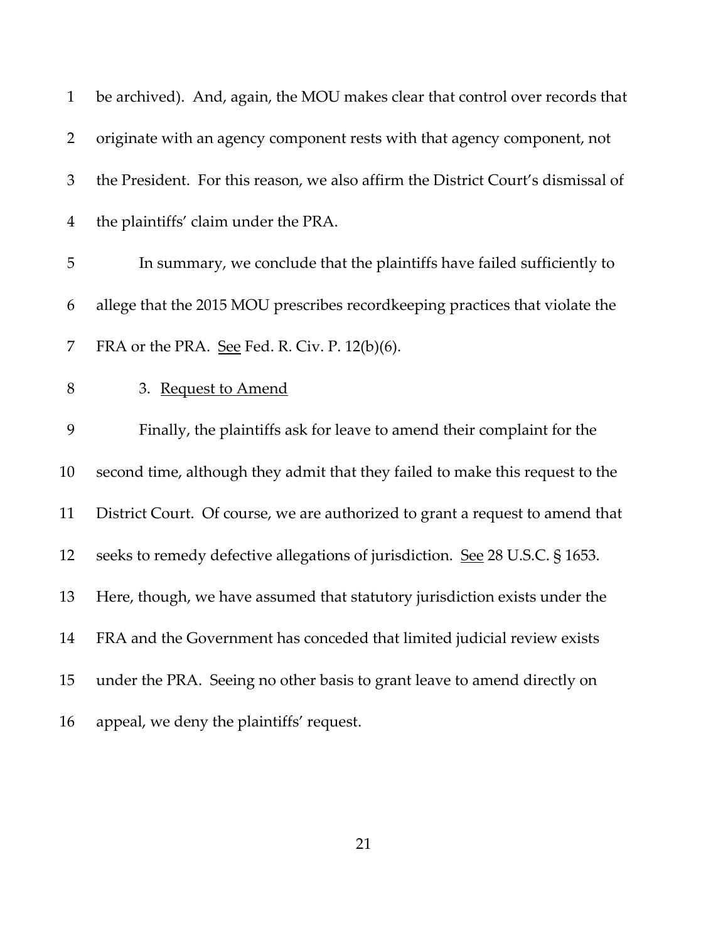| $\mathbf{1}$   | be archived). And, again, the MOU makes clear that control over records that     |
|----------------|----------------------------------------------------------------------------------|
| $\overline{2}$ | originate with an agency component rests with that agency component, not         |
| 3              | the President. For this reason, we also affirm the District Court's dismissal of |
| 4              | the plaintiffs' claim under the PRA.                                             |
| 5              | In summary, we conclude that the plaintiffs have failed sufficiently to          |
| 6              | allege that the 2015 MOU prescribes recordkeeping practices that violate the     |
| 7              | FRA or the PRA. See Fed. R. Civ. P. $12(b)(6)$ .                                 |
| $8\,$          | 3. Request to Amend                                                              |
| 9              | Finally, the plaintiffs ask for leave to amend their complaint for the           |
| 10             | second time, although they admit that they failed to make this request to the    |
| 11             | District Court. Of course, we are authorized to grant a request to amend that    |
| 12             | seeks to remedy defective allegations of jurisdiction. See 28 U.S.C. § 1653.     |
| 13             | Here, though, we have assumed that statutory jurisdiction exists under the       |
| 14             | FRA and the Government has conceded that limited judicial review exists          |
| 15             | under the PRA. Seeing no other basis to grant leave to amend directly on         |
| 16             | appeal, we deny the plaintiffs' request.                                         |